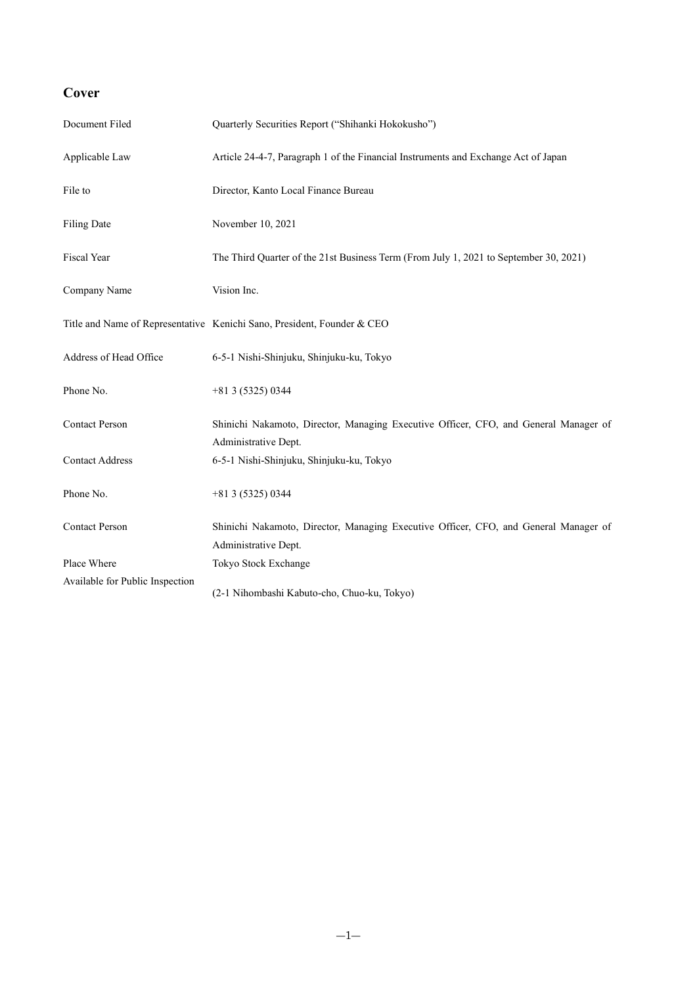# **Cover**

| Document Filed                  | Quarterly Securities Report ("Shihanki Hokokusho")                                                           |
|---------------------------------|--------------------------------------------------------------------------------------------------------------|
| Applicable Law                  | Article 24-4-7, Paragraph 1 of the Financial Instruments and Exchange Act of Japan                           |
| File to                         | Director, Kanto Local Finance Bureau                                                                         |
| <b>Filing Date</b>              | November 10, 2021                                                                                            |
| Fiscal Year                     | The Third Quarter of the 21st Business Term (From July 1, 2021 to September 30, 2021)                        |
| Company Name                    | Vision Inc.                                                                                                  |
|                                 | Title and Name of Representative Kenichi Sano, President, Founder & CEO                                      |
| Address of Head Office          | 6-5-1 Nishi-Shinjuku, Shinjuku-ku, Tokyo                                                                     |
| Phone No.                       | $+813(5325)0344$                                                                                             |
| <b>Contact Person</b>           | Shinichi Nakamoto, Director, Managing Executive Officer, CFO, and General Manager of<br>Administrative Dept. |
| <b>Contact Address</b>          | 6-5-1 Nishi-Shinjuku, Shinjuku-ku, Tokyo                                                                     |
| Phone No.                       | $+813(5325)0344$                                                                                             |
| <b>Contact Person</b>           | Shinichi Nakamoto, Director, Managing Executive Officer, CFO, and General Manager of<br>Administrative Dept. |
| Place Where                     | Tokyo Stock Exchange                                                                                         |
| Available for Public Inspection | (2-1 Nihombashi Kabuto-cho, Chuo-ku, Tokyo)                                                                  |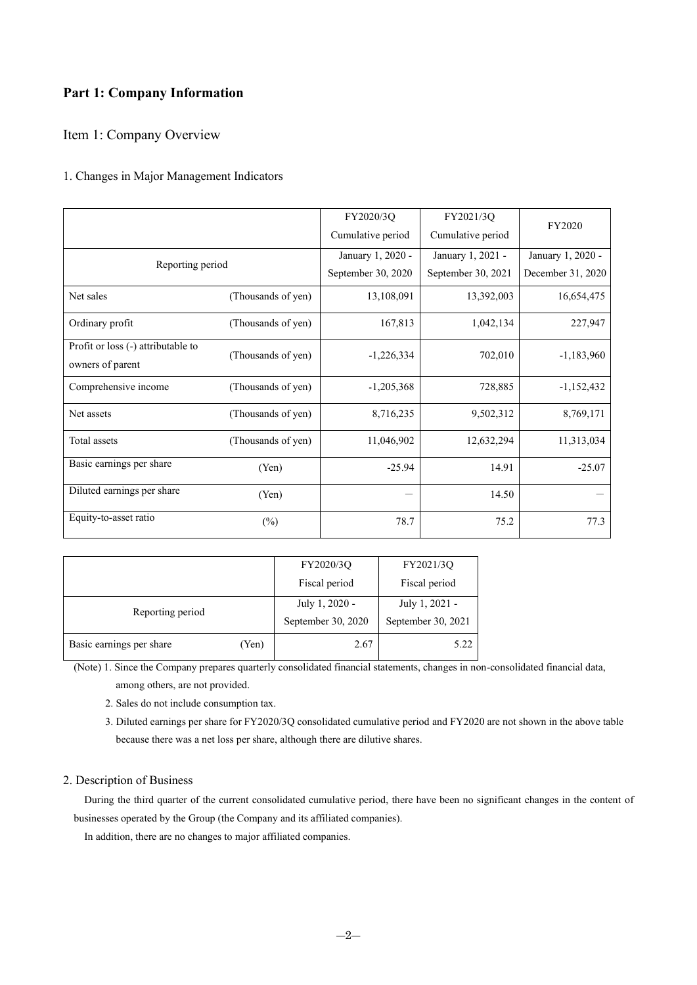# **Part 1: Company Information**

Item 1: Company Overview

# 1. Changes in Major Management Indicators

|                                                        |                    | FY2020/3Q<br>Cumulative period | FY2021/3Q<br>Cumulative period | FY2020            |
|--------------------------------------------------------|--------------------|--------------------------------|--------------------------------|-------------------|
| Reporting period                                       |                    | January 1, 2020 -              | January 1, 2021 -              | January 1, 2020 - |
|                                                        |                    | September 30, 2020             | September 30, 2021             | December 31, 2020 |
| Net sales                                              | (Thousands of yen) | 13,108,091                     | 13,392,003                     | 16,654,475        |
| Ordinary profit                                        | (Thousands of yen) | 167,813                        | 1,042,134                      | 227,947           |
| Profit or loss (-) attributable to<br>owners of parent | (Thousands of yen) | $-1,226,334$                   | 702,010                        | $-1,183,960$      |
| Comprehensive income                                   | (Thousands of yen) | $-1,205,368$                   | 728,885                        | $-1,152,432$      |
| Net assets                                             | (Thousands of yen) | 8,716,235                      | 9,502,312                      | 8,769,171         |
| Total assets                                           | (Thousands of yen) | 11,046,902                     | 12,632,294                     | 11,313,034        |
| Basic earnings per share                               | (Yen)              | $-25.94$                       | 14.91                          | $-25.07$          |
| Diluted earnings per share                             | (Yen)              |                                | 14.50                          |                   |
| Equity-to-asset ratio                                  | $(\%)$             | 78.7                           | 75.2                           | 77.3              |

|                                   | FY2020/3Q          | FY2021/3Q          |
|-----------------------------------|--------------------|--------------------|
|                                   | Fiscal period      | Fiscal period      |
| Reporting period                  | July 1, 2020 -     | July 1, 2021 -     |
|                                   | September 30, 2020 | September 30, 2021 |
| Basic earnings per share<br>(Yen) | 2.67               | 5.22               |

(Note) 1. Since the Company prepares quarterly consolidated financial statements, changes in non-consolidated financial data, among others, are not provided.

- 2. Sales do not include consumption tax.
- 3. Diluted earnings per share for FY2020/3Q consolidated cumulative period and FY2020 are not shown in the above table because there was a net loss per share, although there are dilutive shares.

## 2. Description of Business

During the third quarter of the current consolidated cumulative period, there have been no significant changes in the content of businesses operated by the Group (the Company and its affiliated companies).

In addition, there are no changes to major affiliated companies.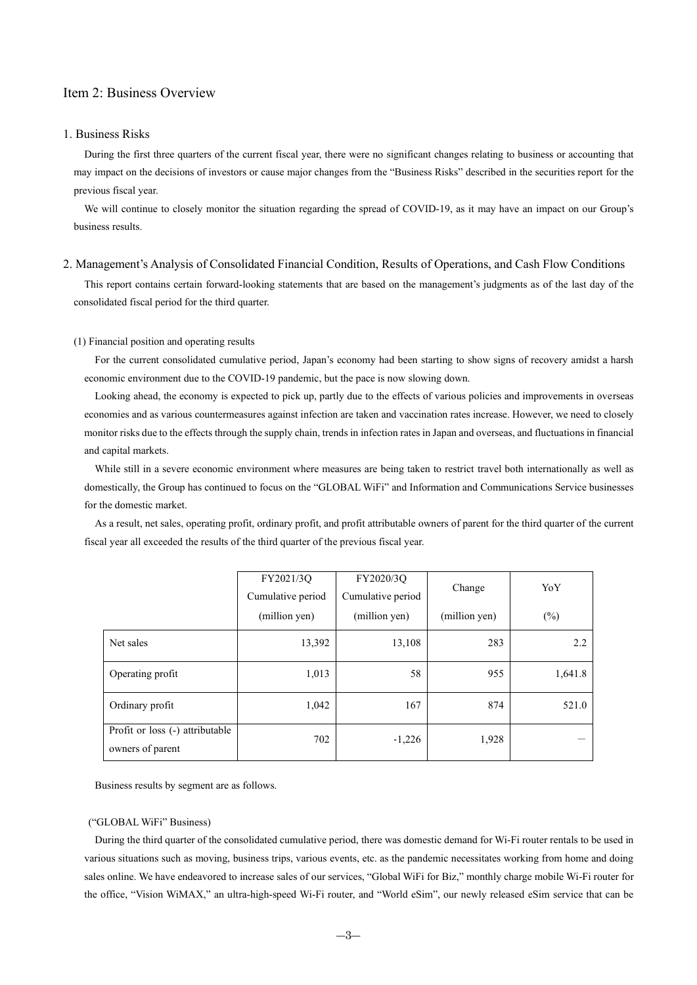# Item 2: Business Overview

## 1. Business Risks

During the first three quarters of the current fiscal year, there were no significant changes relating to business or accounting that may impact on the decisions of investors or cause major changes from the "Business Risks" described in the securities report for the previous fiscal year.

We will continue to closely monitor the situation regarding the spread of COVID-19, as it may have an impact on our Group's business results.

## 2. Management's Analysis of Consolidated Financial Condition, Results of Operations, and Cash Flow Conditions

This report contains certain forward-looking statements that are based on the management's judgments as of the last day of the consolidated fiscal period for the third quarter.

#### (1) Financial position and operating results

For the current consolidated cumulative period, Japan's economy had been starting to show signs of recovery amidst a harsh economic environment due to the COVID-19 pandemic, but the pace is now slowing down.

Looking ahead, the economy is expected to pick up, partly due to the effects of various policies and improvements in overseas economies and as various countermeasures against infection are taken and vaccination rates increase. However, we need to closely monitor risks due to the effects through the supply chain, trends in infection rates in Japan and overseas, and fluctuations in financial and capital markets.

While still in a severe economic environment where measures are being taken to restrict travel both internationally as well as domestically, the Group has continued to focus on the "GLOBAL WiFi" and Information and Communications Service businesses for the domestic market.

As a result, net sales, operating profit, ordinary profit, and profit attributable owners of parent for the third quarter of the current fiscal year all exceeded the results of the third quarter of the previous fiscal year.

|                                                     | FY2021/3Q<br>Cumulative period | FY2020/3Q<br>Cumulative period | Change        | YoY     |
|-----------------------------------------------------|--------------------------------|--------------------------------|---------------|---------|
|                                                     | (million yen)                  | (million yen)                  | (million yen) | $(\%)$  |
| Net sales                                           | 13,392                         | 13,108                         | 283           | 2.2     |
| Operating profit                                    | 1,013                          | 58                             | 955           | 1,641.8 |
| Ordinary profit                                     | 1,042                          | 167                            | 874           | 521.0   |
| Profit or loss (-) attributable<br>owners of parent | 702                            | $-1,226$                       | 1,928         |         |

Business results by segment are as follows.

#### ("GLOBAL WiFi" Business)

During the third quarter of the consolidated cumulative period, there was domestic demand for Wi-Fi router rentals to be used in various situations such as moving, business trips, various events, etc. as the pandemic necessitates working from home and doing sales online. We have endeavored to increase sales of our services, "Global WiFi for Biz," monthly charge mobile Wi-Fi router for the office, "Vision WiMAX," an ultra-high-speed Wi-Fi router, and "World eSim", our newly released eSim service that can be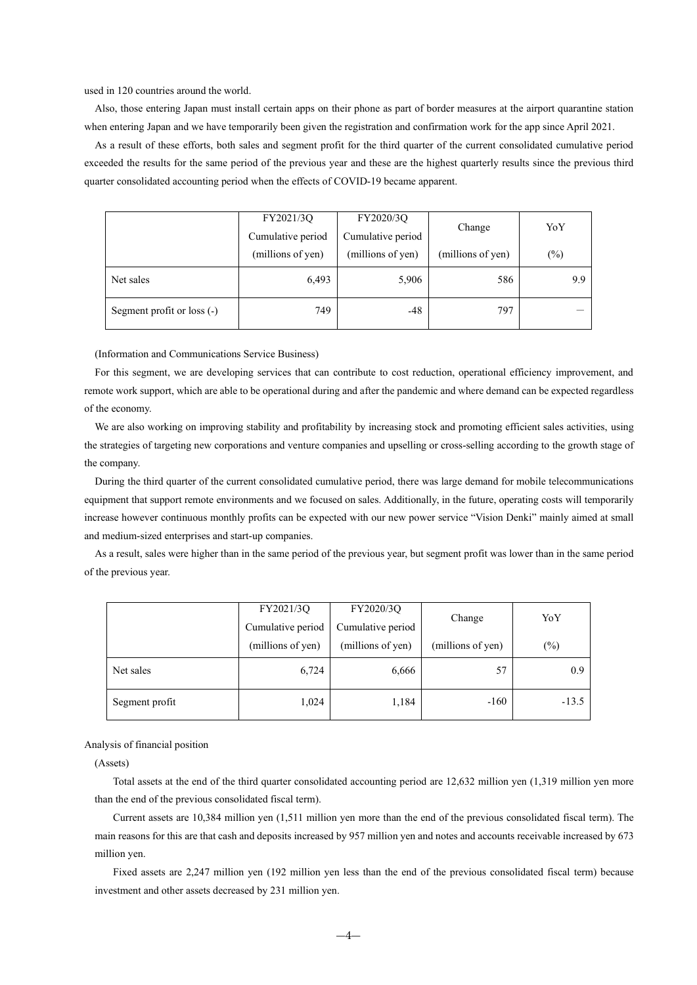used in 120 countries around the world.

Also, those entering Japan must install certain apps on their phone as part of border measures at the airport quarantine station when entering Japan and we have temporarily been given the registration and confirmation work for the app since April 2021.

As a result of these efforts, both sales and segment profit for the third quarter of the current consolidated cumulative period exceeded the results for the same period of the previous year and these are the highest quarterly results since the previous third quarter consolidated accounting period when the effects of COVID-19 became apparent.

|                             | FY2020/3Q<br>FY2021/3Q |                   | Change            | YoY               |  |
|-----------------------------|------------------------|-------------------|-------------------|-------------------|--|
|                             | Cumulative period      | Cumulative period |                   |                   |  |
|                             | (millions of yen)      | (millions of yen) | (millions of yen) | $\left(\%\right)$ |  |
| Net sales                   | 6,493                  | 5,906             | 586               | 9.9               |  |
| Segment profit or $loss(-)$ | 749                    | -48               | 797               |                   |  |

(Information and Communications Service Business)

For this segment, we are developing services that can contribute to cost reduction, operational efficiency improvement, and remote work support, which are able to be operational during and after the pandemic and where demand can be expected regardless of the economy.

We are also working on improving stability and profitability by increasing stock and promoting efficient sales activities, using the strategies of targeting new corporations and venture companies and upselling or cross-selling according to the growth stage of the company.

During the third quarter of the current consolidated cumulative period, there was large demand for mobile telecommunications equipment that support remote environments and we focused on sales. Additionally, in the future, operating costs will temporarily increase however continuous monthly profits can be expected with our new power service "Vision Denki" mainly aimed at small and medium-sized enterprises and start-up companies.

As a result, sales were higher than in the same period of the previous year, but segment profit was lower than in the same period of the previous year.

|                | FY2021/3Q<br>Cumulative period | FY2020/3Q<br>Cumulative period | Change            | YoY            |
|----------------|--------------------------------|--------------------------------|-------------------|----------------|
|                | (millions of yen)              | (millions of yen)              | (millions of yen) | $\binom{0}{0}$ |
| Net sales      | 6,724                          | 6,666                          | 57                | 0.9            |
| Segment profit | 1,024                          | 1,184                          | $-160$            | $-13.5$        |

Analysis of financial position

(Assets)

Total assets at the end of the third quarter consolidated accounting period are 12,632 million yen (1,319 million yen more than the end of the previous consolidated fiscal term).

Current assets are 10,384 million yen (1,511 million yen more than the end of the previous consolidated fiscal term). The main reasons for this are that cash and deposits increased by 957 million yen and notes and accounts receivable increased by 673 million yen.

Fixed assets are 2,247 million yen (192 million yen less than the end of the previous consolidated fiscal term) because investment and other assets decreased by 231 million yen.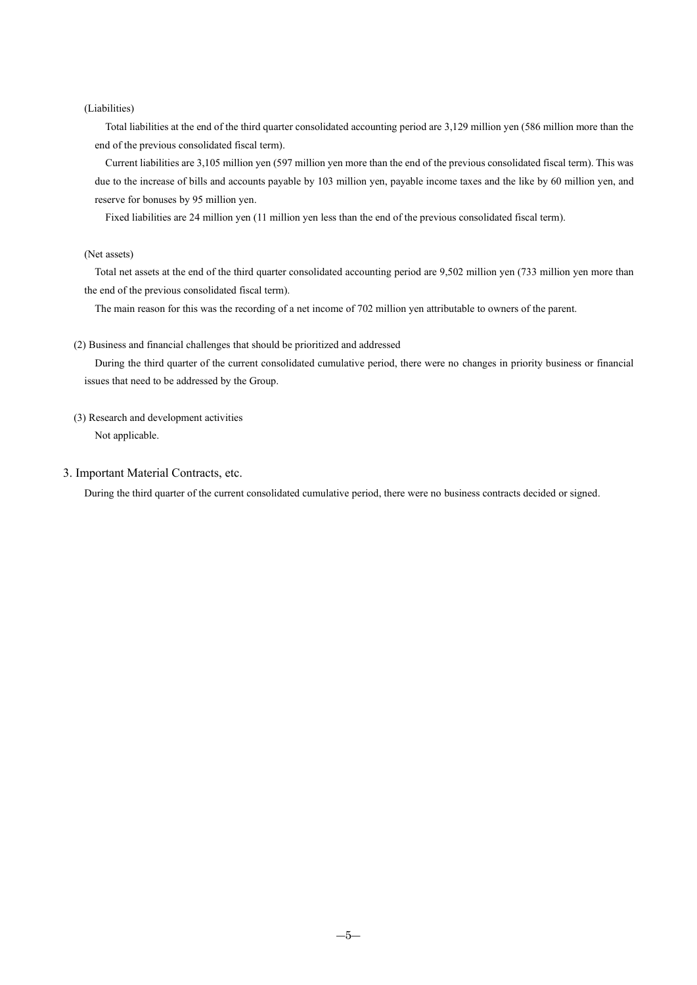## (Liabilities)

Total liabilities at the end of the third quarter consolidated accounting period are 3,129 million yen (586 million more than the end of the previous consolidated fiscal term).

Current liabilities are 3,105 million yen (597 million yen more than the end of the previous consolidated fiscal term). This was due to the increase of bills and accounts payable by 103 million yen, payable income taxes and the like by 60 million yen, and reserve for bonuses by 95 million yen.

Fixed liabilities are 24 million yen (11 million yen less than the end of the previous consolidated fiscal term).

## (Net assets)

Total net assets at the end of the third quarter consolidated accounting period are 9,502 million yen (733 million yen more than the end of the previous consolidated fiscal term).

The main reason for this was the recording of a net income of 702 million yen attributable to owners of the parent.

#### (2) Business and financial challenges that should be prioritized and addressed

During the third quarter of the current consolidated cumulative period, there were no changes in priority business or financial issues that need to be addressed by the Group.

(3) Research and development activities

Not applicable.

3. Important Material Contracts, etc.

During the third quarter of the current consolidated cumulative period, there were no business contracts decided or signed.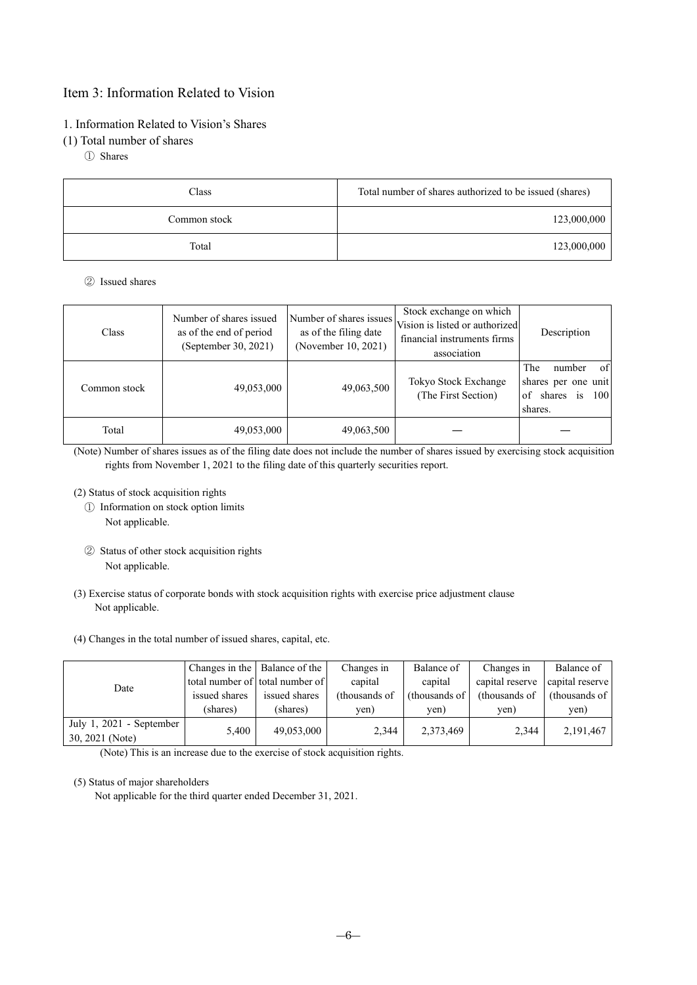# Item 3: Information Related to Vision

# 1. Information Related to Vision's Shares

# (1) Total number of shares

① Shares

| Class        | Total number of shares authorized to be issued (shares) |
|--------------|---------------------------------------------------------|
| Common stock | 123,000,000                                             |
| Total        | 123,000,000                                             |

# ② Issued shares

| Class        | Number of shares issued<br>as of the end of period<br>(September 30, 2021) | Number of shares issues<br>as of the filing date<br>(November 10, 2021) | Stock exchange on which<br>Vision is listed or authorized<br>financial instruments firms<br>association | Description                                                                        |
|--------------|----------------------------------------------------------------------------|-------------------------------------------------------------------------|---------------------------------------------------------------------------------------------------------|------------------------------------------------------------------------------------|
| Common stock | 49,053,000                                                                 | 49,063,500                                                              | Tokyo Stock Exchange<br>(The First Section)                                                             | The<br>of<br>number<br>shares per one unit<br>is<br>shares<br>100<br>of<br>shares. |
| Total        | 49,053,000                                                                 | 49,063,500                                                              |                                                                                                         |                                                                                    |

(Note) Number of shares issues as of the filing date does not include the number of shares issued by exercising stock acquisition rights from November 1, 2021 to the filing date of this quarterly securities report.

(2) Status of stock acquisition rights

- ① Information on stock option limits
	- Not applicable.
- ② Status of other stock acquisition rights Not applicable.
- (3) Exercise status of corporate bonds with stock acquisition rights with exercise price adjustment clause Not applicable.
- (4) Changes in the total number of issued shares, capital, etc.

| Date                     |               | Changes in the   Balance of the | Changes in    | Balance of    | Changes in      | Balance of      |
|--------------------------|---------------|---------------------------------|---------------|---------------|-----------------|-----------------|
|                          |               | total number of total number of | capital       | capital       | capital reserve | capital reserve |
|                          | issued shares | issued shares                   | (thousands of | (thousands of | (thousands of   | (thousands of   |
|                          | (shares)      | (shares)                        | ven)          | ven)          | yen)            | yen)            |
| July 1, 2021 - September | 5,400         | 49,053,000                      | 2,344         | 2,373,469     | 2.344           | 2,191,467       |
| 30, 2021 (Note)          |               |                                 |               |               |                 |                 |

(Note) This is an increase due to the exercise of stock acquisition rights.

## (5) Status of major shareholders

Not applicable for the third quarter ended December 31, 2021.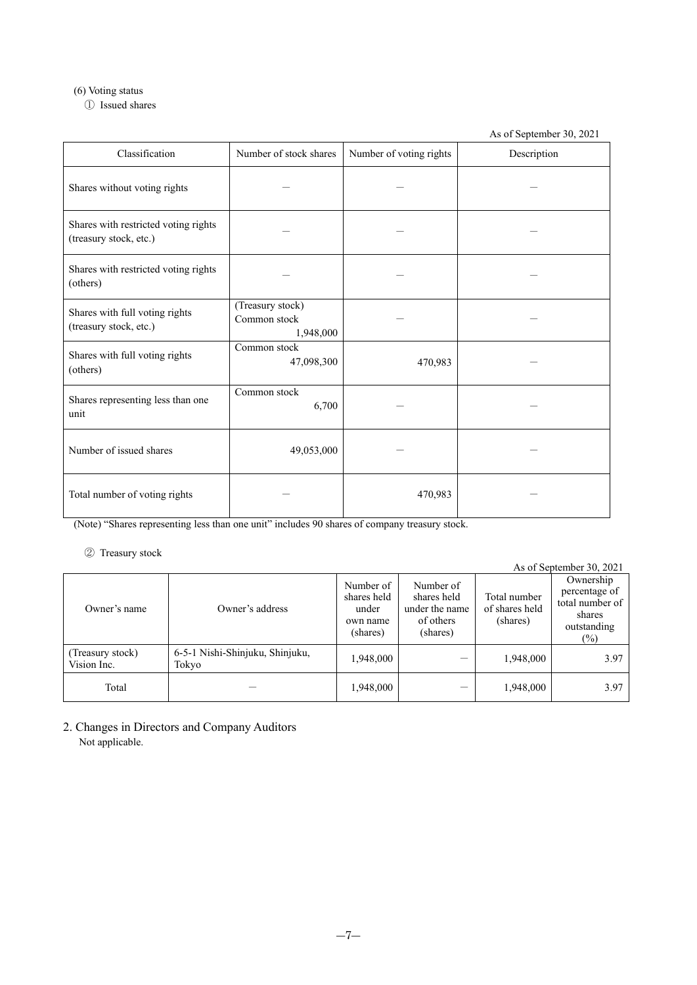# (6) Voting status

① Issued shares

As of September 30, 2021

| Classification                                                 | Number of stock shares                        | Number of voting rights | Description |
|----------------------------------------------------------------|-----------------------------------------------|-------------------------|-------------|
| Shares without voting rights                                   |                                               |                         |             |
| Shares with restricted voting rights<br>(treasury stock, etc.) |                                               |                         |             |
| Shares with restricted voting rights<br>(others)               |                                               |                         |             |
| Shares with full voting rights<br>(treasury stock, etc.)       | (Treasury stock)<br>Common stock<br>1,948,000 |                         |             |
| Shares with full voting rights<br>(others)                     | Common stock<br>47,098,300                    | 470,983                 |             |
| Shares representing less than one<br>unit                      | Common stock<br>6,700                         |                         |             |
| Number of issued shares                                        | 49,053,000                                    |                         |             |
| Total number of voting rights                                  |                                               | 470,983                 |             |

(Note) "Shares representing less than one unit" includes 90 shares of company treasury stock.

# ② Treasury stock

| $1.1$ $1.00$ $1.1$ , $1.00$ $1.1$ |                                          |                                                           |                                                                     |                                            | As of September 30, 2021                                                         |
|-----------------------------------|------------------------------------------|-----------------------------------------------------------|---------------------------------------------------------------------|--------------------------------------------|----------------------------------------------------------------------------------|
| Owner's name                      | Owner's address                          | Number of<br>shares held<br>under<br>own name<br>(shares) | Number of<br>shares held<br>under the name<br>of others<br>(shares) | Total number<br>of shares held<br>(shares) | Ownership<br>percentage of<br>total number of<br>shares<br>outstanding<br>$(\%)$ |
| (Treasury stock)<br>Vision Inc.   | 6-5-1 Nishi-Shinjuku, Shinjuku,<br>Tokyo | 1,948,000                                                 |                                                                     | 1,948,000                                  | 3.97                                                                             |
| Total                             |                                          | 1,948,000                                                 |                                                                     | 1,948,000                                  | 3.97                                                                             |

2. Changes in Directors and Company Auditors Not applicable.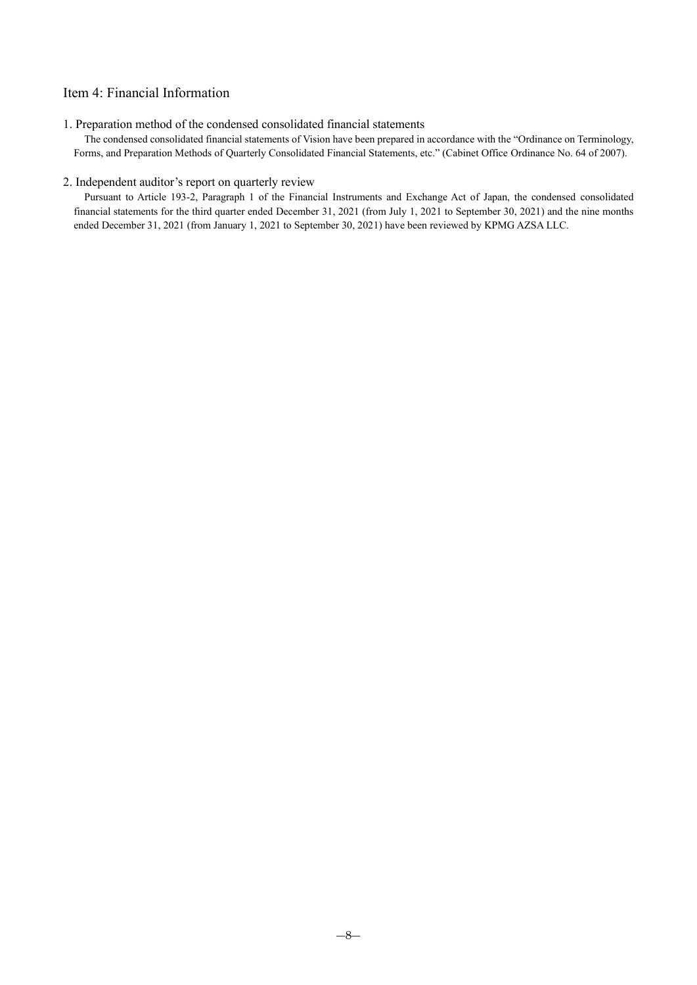# Item 4: Financial Information

# 1. Preparation method of the condensed consolidated financial statements

The condensed consolidated financial statements of Vision have been prepared in accordance with the "Ordinance on Terminology, Forms, and Preparation Methods of Quarterly Consolidated Financial Statements, etc." (Cabinet Office Ordinance No. 64 of 2007).

# 2. Independent auditor's report on quarterly review

Pursuant to Article 193-2, Paragraph 1 of the Financial Instruments and Exchange Act of Japan, the condensed consolidated financial statements for the third quarter ended December 31, 2021 (from July 1, 2021 to September 30, 2021) and the nine months ended December 31, 2021 (from January 1, 2021 to September 30, 2021) have been reviewed by KPMG AZSA LLC.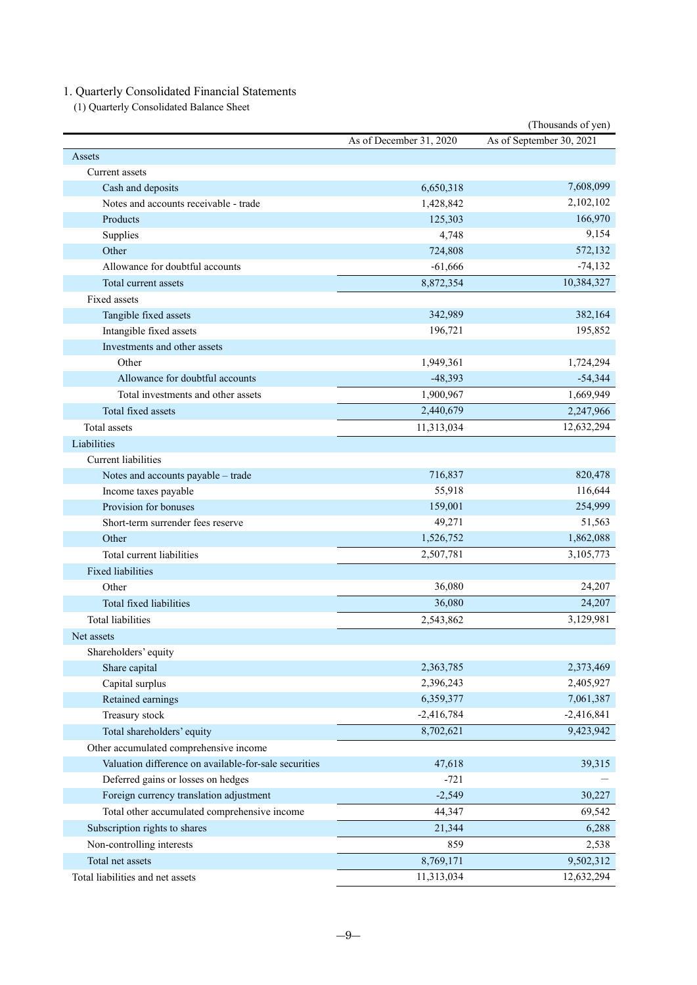# 1. Quarterly Consolidated Financial Statements

(1) Quarterly Consolidated Balance Sheet

| (Thousands of yen)                                    |                         |                          |  |
|-------------------------------------------------------|-------------------------|--------------------------|--|
|                                                       | As of December 31, 2020 | As of September 30, 2021 |  |
| Assets                                                |                         |                          |  |
| Current assets                                        |                         |                          |  |
| Cash and deposits                                     | 6,650,318               | 7,608,099                |  |
| Notes and accounts receivable - trade                 | 1,428,842               | 2,102,102                |  |
| Products                                              | 125,303                 | 166,970                  |  |
| Supplies                                              | 4,748                   | 9,154                    |  |
| Other                                                 | 724,808                 | 572,132                  |  |
| Allowance for doubtful accounts                       | $-61,666$               | $-74,132$                |  |
| Total current assets                                  | 8,872,354               | 10,384,327               |  |
| Fixed assets                                          |                         |                          |  |
| Tangible fixed assets                                 | 342,989                 | 382,164                  |  |
| Intangible fixed assets                               | 196,721                 | 195,852                  |  |
| Investments and other assets                          |                         |                          |  |
| Other                                                 | 1,949,361               | 1,724,294                |  |
| Allowance for doubtful accounts                       | $-48,393$               | $-54,344$                |  |
| Total investments and other assets                    | 1,900,967               | 1,669,949                |  |
| Total fixed assets                                    | 2,440,679               | 2,247,966                |  |
| <b>Total</b> assets                                   | 11,313,034              | 12,632,294               |  |
| Liabilities                                           |                         |                          |  |
| Current liabilities                                   |                         |                          |  |
| Notes and accounts payable - trade                    | 716,837                 | 820,478                  |  |
| Income taxes payable                                  | 55,918                  | 116,644                  |  |
| Provision for bonuses                                 | 159,001                 | 254,999                  |  |
| Short-term surrender fees reserve                     | 49,271                  | 51,563                   |  |
| Other                                                 | 1,526,752               | 1,862,088                |  |
| Total current liabilities                             | 2,507,781               | 3,105,773                |  |
| <b>Fixed liabilities</b>                              |                         |                          |  |
| Other                                                 | 36,080                  | 24,207                   |  |
| Total fixed liabilities                               | 36,080                  | 24,207                   |  |
| <b>Total liabilities</b>                              | 2,543,862               | 3,129,981                |  |
| Net assets                                            |                         |                          |  |
| Shareholders' equity                                  |                         |                          |  |
| Share capital                                         | 2,363,785               | 2,373,469                |  |
| Capital surplus                                       | 2,396,243               | 2,405,927                |  |
| Retained earnings                                     | 6,359,377               | 7,061,387                |  |
| Treasury stock                                        | $-2,416,784$            | $-2,416,841$             |  |
| Total shareholders' equity                            | 8,702,621               | 9,423,942                |  |
| Other accumulated comprehensive income                |                         |                          |  |
| Valuation difference on available-for-sale securities | 47,618                  | 39,315                   |  |
| Deferred gains or losses on hedges                    | $-721$                  |                          |  |
| Foreign currency translation adjustment               | $-2,549$                | 30,227                   |  |
| Total other accumulated comprehensive income          | 44,347                  | 69,542                   |  |
| Subscription rights to shares                         | 21,344                  | 6,288                    |  |
| Non-controlling interests                             | 859                     | 2,538                    |  |
| Total net assets                                      | 8,769,171               | 9,502,312                |  |
| Total liabilities and net assets                      | 11,313,034              | 12,632,294               |  |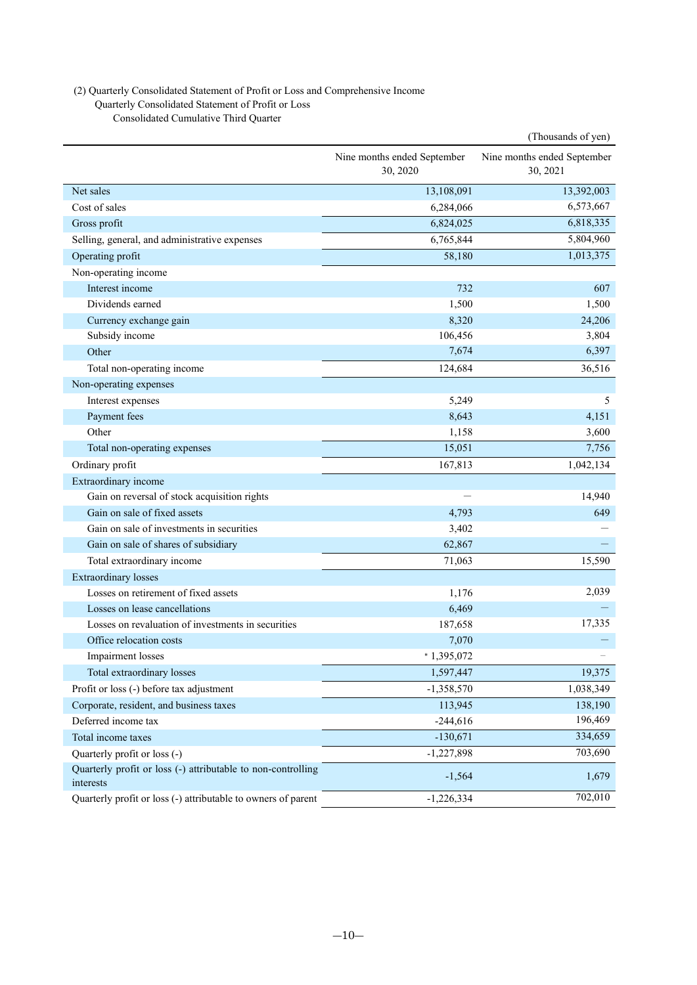# (2) Quarterly Consolidated Statement of Profit or Loss and Comprehensive Income

Quarterly Consolidated Statement of Profit or Loss

Consolidated Cumulative Third Quarter

|                                                                           |                                         | (Thousands of yen)                      |
|---------------------------------------------------------------------------|-----------------------------------------|-----------------------------------------|
|                                                                           | Nine months ended September<br>30, 2020 | Nine months ended September<br>30, 2021 |
| Net sales                                                                 | 13,108,091                              | 13,392,003                              |
| Cost of sales                                                             | 6,284,066                               | 6,573,667                               |
| Gross profit                                                              | 6,824,025                               | 6,818,335                               |
| Selling, general, and administrative expenses                             | 6,765,844                               | 5,804,960                               |
| Operating profit                                                          | 58,180                                  | 1,013,375                               |
| Non-operating income                                                      |                                         |                                         |
| Interest income                                                           | 732                                     | 607                                     |
| Dividends earned                                                          | 1,500                                   | 1,500                                   |
| Currency exchange gain                                                    | 8,320                                   | 24,206                                  |
| Subsidy income                                                            | 106,456                                 | 3,804                                   |
| Other                                                                     | 7,674                                   | 6,397                                   |
| Total non-operating income                                                | 124,684                                 | 36,516                                  |
| Non-operating expenses                                                    |                                         |                                         |
| Interest expenses                                                         | 5,249                                   | 5                                       |
| Payment fees                                                              | 8,643                                   | 4,151                                   |
| Other                                                                     | 1,158                                   | 3,600                                   |
| Total non-operating expenses                                              | 15,051                                  | 7,756                                   |
| Ordinary profit                                                           | 167,813                                 | 1,042,134                               |
| Extraordinary income                                                      |                                         |                                         |
| Gain on reversal of stock acquisition rights                              |                                         | 14,940                                  |
| Gain on sale of fixed assets                                              | 4,793                                   | 649                                     |
| Gain on sale of investments in securities                                 | 3,402                                   |                                         |
| Gain on sale of shares of subsidiary                                      | 62,867                                  |                                         |
| Total extraordinary income                                                | 71,063                                  | 15,590                                  |
| <b>Extraordinary</b> losses                                               |                                         |                                         |
| Losses on retirement of fixed assets                                      | 1,176                                   | 2,039                                   |
| Losses on lease cancellations                                             | 6,469                                   |                                         |
| Losses on revaluation of investments in securities                        | 187,658                                 | 17,335                                  |
| Office relocation costs                                                   | 7,070                                   |                                         |
| Impairment losses                                                         | 1,395,072                               |                                         |
| Total extraordinary losses                                                | 1,597,447                               | 19,375                                  |
| Profit or loss (-) before tax adjustment                                  | $-1,358,570$                            | 1,038,349                               |
| Corporate, resident, and business taxes                                   | 113,945                                 | 138,190                                 |
| Deferred income tax                                                       | $-244,616$                              | 196,469                                 |
| Total income taxes                                                        | $-130,671$                              | 334,659                                 |
| Quarterly profit or loss (-)                                              | $-1,227,898$                            | 703,690                                 |
| Quarterly profit or loss (-) attributable to non-controlling<br>interests | $-1,564$                                | 1,679                                   |
| Quarterly profit or loss (-) attributable to owners of parent             | $-1,226,334$                            | 702,010                                 |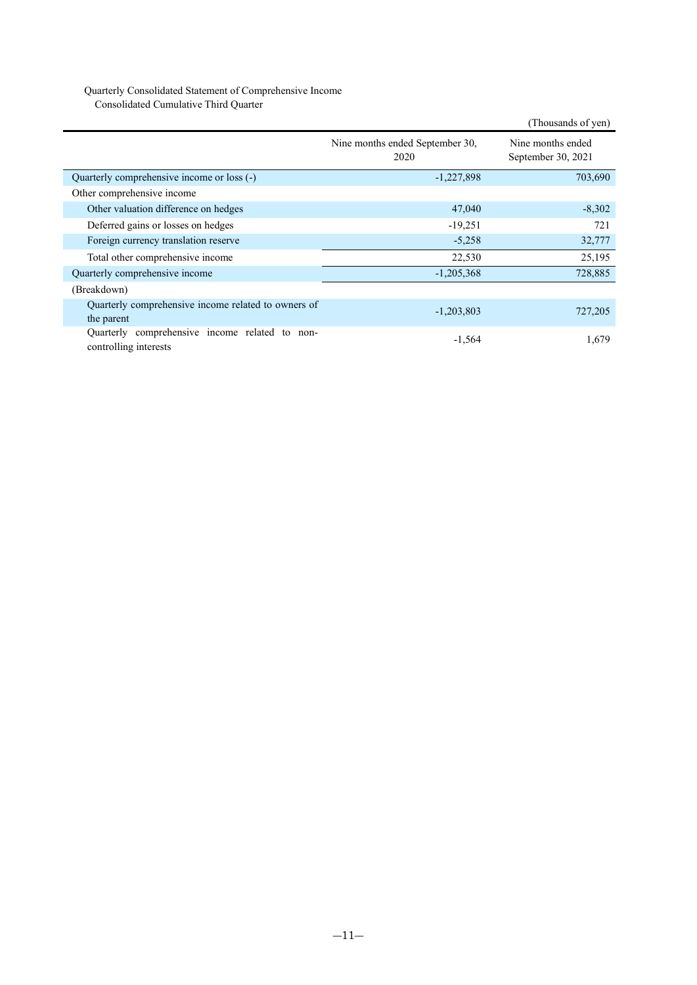# Quarterly Consolidated Statement of Comprehensive Income

Consolidated Cumulative Third Quarter

|                                                                         |                                         | (Thousands of yen)                      |
|-------------------------------------------------------------------------|-----------------------------------------|-----------------------------------------|
|                                                                         | Nine months ended September 30,<br>2020 | Nine months ended<br>September 30, 2021 |
| Quarterly comprehensive income or loss (-)                              | $-1,227,898$                            | 703,690                                 |
| Other comprehensive income                                              |                                         |                                         |
| Other valuation difference on hedges                                    | 47,040                                  | $-8,302$                                |
| Deferred gains or losses on hedges                                      | $-19,251$                               | 721                                     |
| Foreign currency translation reserve                                    | $-5,258$                                | 32,777                                  |
| Total other comprehensive income                                        | 22,530                                  | 25,195                                  |
| Quarterly comprehensive income                                          | $-1,205,368$                            | 728,885                                 |
| (Breakdown)                                                             |                                         |                                         |
| Quarterly comprehensive income related to owners of<br>the parent       | $-1,203,803$                            | 727,205                                 |
| Quarterly comprehensive income related to non-<br>controlling interests | $-1,564$                                | 1,679                                   |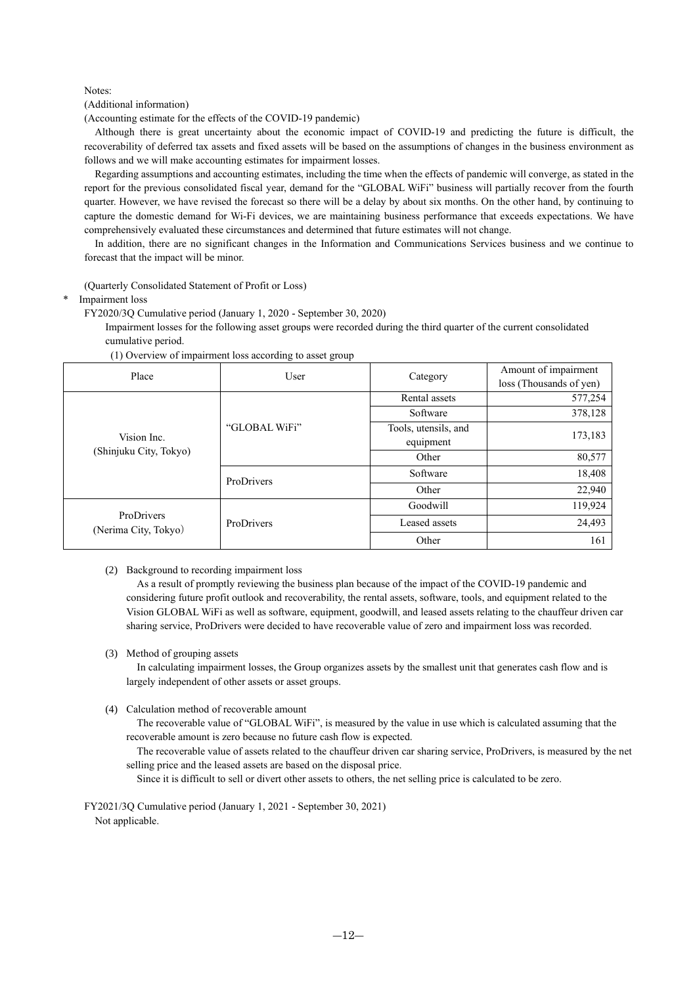#### Notes:

(Additional information)

(Accounting estimate for the effects of the COVID-19 pandemic)

Although there is great uncertainty about the economic impact of COVID-19 and predicting the future is difficult, the recoverability of deferred tax assets and fixed assets will be based on the assumptions of changes in the business environment as follows and we will make accounting estimates for impairment losses.

Regarding assumptions and accounting estimates, including the time when the effects of pandemic will converge, as stated in the report for the previous consolidated fiscal year, demand for the "GLOBAL WiFi" business will partially recover from the fourth quarter. However, we have revised the forecast so there will be a delay by about six months. On the other hand, by continuing to capture the domestic demand for Wi-Fi devices, we are maintaining business performance that exceeds expectations. We have comprehensively evaluated these circumstances and determined that future estimates will not change.

In addition, there are no significant changes in the Information and Communications Services business and we continue to forecast that the impact will be minor.

(Quarterly Consolidated Statement of Profit or Loss)

Impairment loss

FY2020/3Q Cumulative period (January 1, 2020 - September 30, 2020)

Impairment losses for the following asset groups were recorded during the third quarter of the current consolidated cumulative period.

| Place                                 | User          |                      | Amount of impairment    |  |
|---------------------------------------|---------------|----------------------|-------------------------|--|
|                                       |               | Category             | loss (Thousands of yen) |  |
|                                       |               | Rental assets        | 577,254                 |  |
|                                       |               | Software             | 378,128                 |  |
|                                       | "GLOBAL WiFi" | Tools, utensils, and | 173,183                 |  |
| Vision Inc.<br>(Shinjuku City, Tokyo) |               | equipment            |                         |  |
|                                       |               | Other                | 80,577                  |  |
|                                       | ProDrivers    | Software             | 18,408                  |  |
|                                       |               | Other                | 22,940                  |  |
|                                       |               | Goodwill             | 119,924                 |  |
| ProDrivers<br>(Nerima City, Tokyo)    | ProDrivers    | Leased assets        | 24,493                  |  |
|                                       |               | Other                | 161                     |  |

#### (1) Overview of impairment loss according to asset group

(2) Background to recording impairment loss

As a result of promptly reviewing the business plan because of the impact of the COVID-19 pandemic and considering future profit outlook and recoverability, the rental assets, software, tools, and equipment related to the Vision GLOBAL WiFi as well as software, equipment, goodwill, and leased assets relating to the chauffeur driven car sharing service, ProDrivers were decided to have recoverable value of zero and impairment loss was recorded.

(3) Method of grouping assets

In calculating impairment losses, the Group organizes assets by the smallest unit that generates cash flow and is largely independent of other assets or asset groups.

(4) Calculation method of recoverable amount

The recoverable value of "GLOBAL WiFi", is measured by the value in use which is calculated assuming that the recoverable amount is zero because no future cash flow is expected.

The recoverable value of assets related to the chauffeur driven car sharing service, ProDrivers, is measured by the net selling price and the leased assets are based on the disposal price.

Since it is difficult to sell or divert other assets to others, the net selling price is calculated to be zero.

FY2021/3Q Cumulative period (January 1, 2021 - September 30, 2021) Not applicable.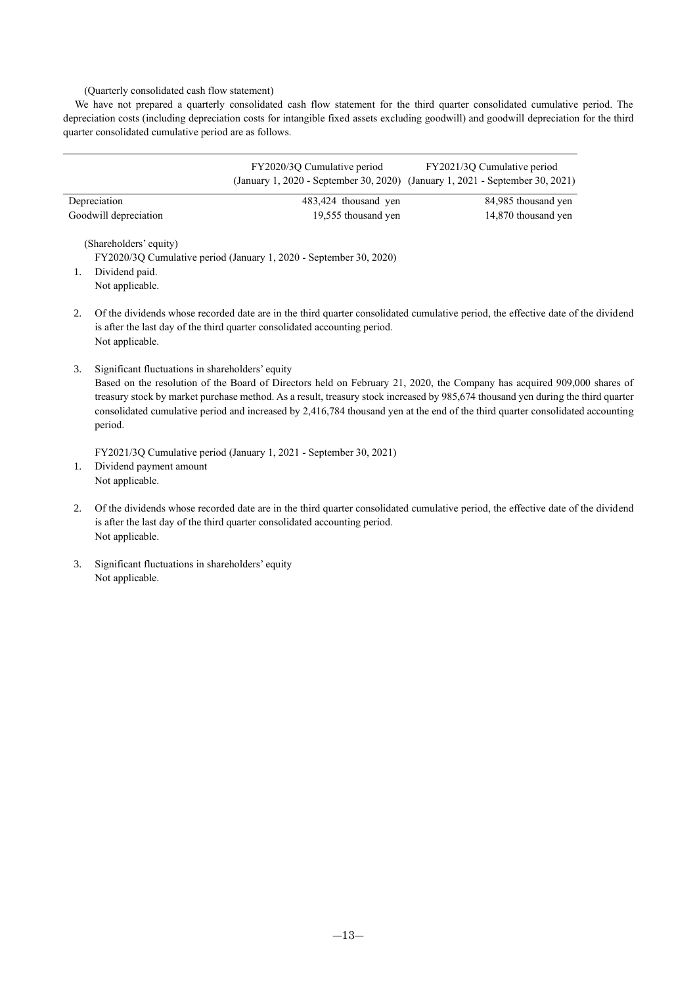### (Quarterly consolidated cash flow statement)

We have not prepared a quarterly consolidated cash flow statement for the third quarter consolidated cumulative period. The depreciation costs (including depreciation costs for intangible fixed assets excluding goodwill) and goodwill depreciation for the third quarter consolidated cumulative period are as follows.

|                                          | FY2020/3Q Cumulative period                                        | FY2021/3Q Cumulative period<br>(January 1, 2020 - September 30, 2020) (January 1, 2021 - September 30, 2021) |
|------------------------------------------|--------------------------------------------------------------------|--------------------------------------------------------------------------------------------------------------|
| Depreciation                             | 483,424 thousand yen                                               | 84,985 thousand yen                                                                                          |
| Goodwill depreciation                    | 19,555 thousand yen                                                | 14,870 thousand yen                                                                                          |
| (Shareholders' equity)<br>Dividend paid. | FY2020/3Q Cumulative period (January 1, 2020 - September 30, 2020) |                                                                                                              |

Not applicable.

- 2. Of the dividends whose recorded date are in the third quarter consolidated cumulative period, the effective date of the dividend is after the last day of the third quarter consolidated accounting period. Not applicable.
- 3. Significant fluctuations in shareholders' equity

Based on the resolution of the Board of Directors held on February 21, 2020, the Company has acquired 909,000 shares of treasury stock by market purchase method. As a result, treasury stock increased by 985,674 thousand yen during the third quarter consolidated cumulative period and increased by 2,416,784 thousand yen at the end of the third quarter consolidated accounting period.

FY2021/3Q Cumulative period (January 1, 2021 - September 30, 2021) 1. Dividend payment amount Not applicable.

- 2. Of the dividends whose recorded date are in the third quarter consolidated cumulative period, the effective date of the dividend is after the last day of the third quarter consolidated accounting period. Not applicable.
- 3. Significant fluctuations in shareholders' equity Not applicable.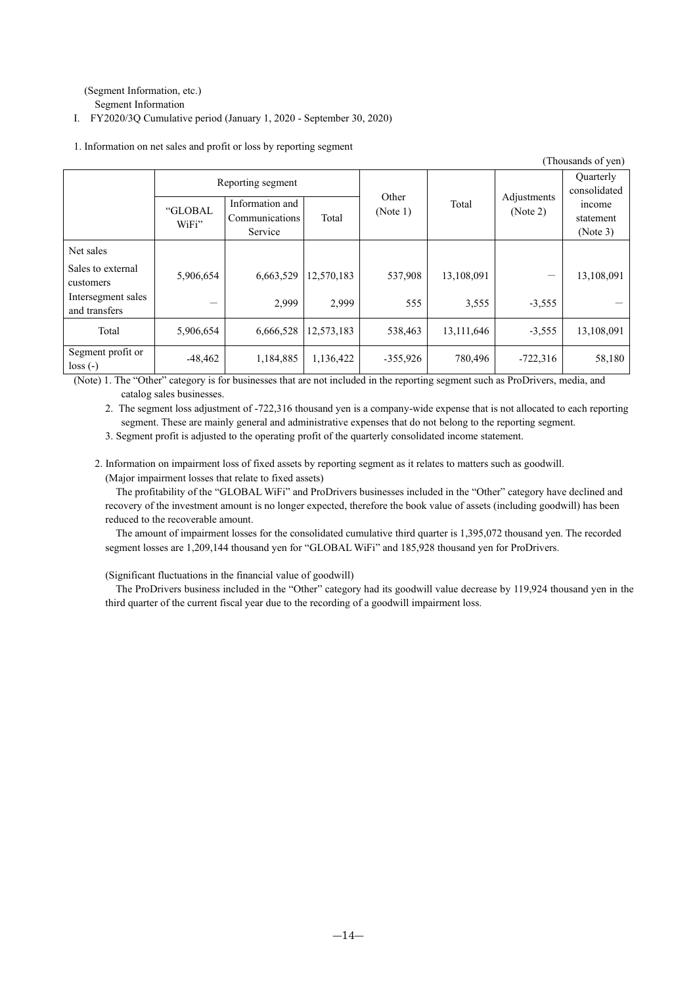(Segment Information, etc.)

Segment Information

Ⅰ. FY2020/3Q Cumulative period (January 1, 2020 - September 30, 2020)

|                                                                                                                                |                  |                                              |            |                   |                                  |                         | (Thousands of yen)              |
|--------------------------------------------------------------------------------------------------------------------------------|------------------|----------------------------------------------|------------|-------------------|----------------------------------|-------------------------|---------------------------------|
| Reporting segment                                                                                                              |                  |                                              |            |                   | <b>Ouarterly</b><br>consolidated |                         |                                 |
|                                                                                                                                | "GLOBAL<br>WiFi" | Information and<br>Communications<br>Service | Total      | Other<br>(Note 1) | Total                            | Adjustments<br>(Note 2) | income<br>statement<br>(Note 3) |
| Net sales                                                                                                                      |                  |                                              |            |                   |                                  |                         |                                 |
| Sales to external<br>customers                                                                                                 | 5,906,654        | 6,663,529                                    | 12,570,183 | 537,908           | 13,108,091                       |                         | 13,108,091                      |
| Intersegment sales<br>and transfers                                                                                            |                  | 2,999                                        | 2.999      | 555               | 3,555                            | $-3,555$                |                                 |
| Total                                                                                                                          | 5,906,654        | 6,666,528                                    | 12,573,183 | 538,463           | 13,111,646                       | $-3,555$                | 13,108,091                      |
| Segment profit or<br>$loss(-)$                                                                                                 | $-48,462$        | 1,184,885                                    | 1,136,422  | $-355,926$        | 780,496                          | $-722,316$              | 58,180                          |
| (Note) 1. The "Other" category is for businesses that are not included in the reporting segment such as ProDrivers, media, and |                  |                                              |            |                   |                                  |                         |                                 |

1. Information on net sales and profit or loss by reporting segment

(Note) 1. The "Other" category is for businesses that are not included in the reporting segment such as ProDrivers, media, and catalog sales businesses.

2. The segment loss adjustment of -722,316 thousand yen is a company-wide expense that is not allocated to each reporting segment. These are mainly general and administrative expenses that do not belong to the reporting segment.

3. Segment profit is adjusted to the operating profit of the quarterly consolidated income statement.

2. Information on impairment loss of fixed assets by reporting segment as it relates to matters such as goodwill. (Major impairment losses that relate to fixed assets)

The profitability of the "GLOBAL WiFi" and ProDrivers businesses included in the "Other" category have declined and recovery of the investment amount is no longer expected, therefore the book value of assets (including goodwill) has been reduced to the recoverable amount.

The amount of impairment losses for the consolidated cumulative third quarter is 1,395,072 thousand yen. The recorded segment losses are 1,209,144 thousand yen for "GLOBAL WiFi" and 185,928 thousand yen for ProDrivers.

(Significant fluctuations in the financial value of goodwill)

The ProDrivers business included in the "Other" category had its goodwill value decrease by 119,924 thousand yen in the third quarter of the current fiscal year due to the recording of a goodwill impairment loss.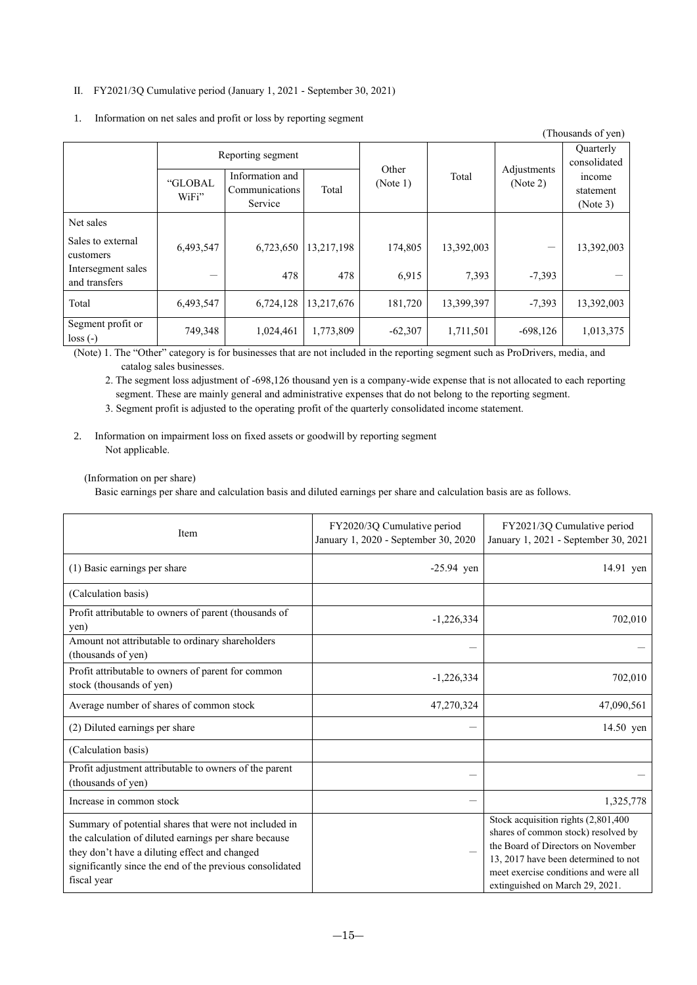## Ⅱ. FY2021/3Q Cumulative period (January 1, 2021 - September 30, 2021)

| (Thousands of yen)                  |                   |                                              |            |                   |            |                                  |                                 |
|-------------------------------------|-------------------|----------------------------------------------|------------|-------------------|------------|----------------------------------|---------------------------------|
|                                     | Reporting segment |                                              |            |                   |            | <b>Ouarterly</b><br>consolidated |                                 |
|                                     | "GLOBAL<br>WiFi"  | Information and<br>Communications<br>Service | Total      | Other<br>(Note 1) | Total      | Adjustments<br>(Note 2)          | income<br>statement<br>(Note 3) |
| Net sales                           |                   |                                              |            |                   |            |                                  |                                 |
| Sales to external<br>customers      | 6,493,547         | 6,723,650                                    | 13,217,198 | 174,805           | 13,392,003 |                                  | 13,392,003                      |
| Intersegment sales<br>and transfers | -                 | 478                                          | 478        | 6,915             | 7,393      | $-7,393$                         |                                 |
| Total                               | 6,493,547         | 6,724,128                                    | 13,217,676 | 181,720           | 13,399,397 | $-7,393$                         | 13,392,003                      |
| Segment profit or<br>$loss(-)$      | 749,348           | 1,024,461                                    | 1,773,809  | $-62,307$         | 1,711,501  | $-698,126$                       | 1,013,375                       |

1. Information on net sales and profit or loss by reporting segment

(Note) 1. The "Other" category is for businesses that are not included in the reporting segment such as ProDrivers, media, and catalog sales businesses.

2. The segment loss adjustment of -698,126 thousand yen is a company-wide expense that is not allocated to each reporting segment. These are mainly general and administrative expenses that do not belong to the reporting segment.

3. Segment profit is adjusted to the operating profit of the quarterly consolidated income statement.

2. Information on impairment loss on fixed assets or goodwill by reporting segment Not applicable.

### (Information on per share)

Basic earnings per share and calculation basis and diluted earnings per share and calculation basis are as follows.

| Item                                                                                                                                                                                                                                       | FY2020/3Q Cumulative period<br>January 1, 2020 - September 30, 2020 | FY2021/3Q Cumulative period<br>January 1, 2021 - September 30, 2021                                                                                                                                                                  |
|--------------------------------------------------------------------------------------------------------------------------------------------------------------------------------------------------------------------------------------------|---------------------------------------------------------------------|--------------------------------------------------------------------------------------------------------------------------------------------------------------------------------------------------------------------------------------|
| (1) Basic earnings per share                                                                                                                                                                                                               | $-25.94$ yen                                                        | 14.91 yen                                                                                                                                                                                                                            |
| (Calculation basis)                                                                                                                                                                                                                        |                                                                     |                                                                                                                                                                                                                                      |
| Profit attributable to owners of parent (thousands of<br>yen)                                                                                                                                                                              | $-1,226,334$                                                        | 702,010                                                                                                                                                                                                                              |
| Amount not attributable to ordinary shareholders<br>(thousands of yen)                                                                                                                                                                     |                                                                     |                                                                                                                                                                                                                                      |
| Profit attributable to owners of parent for common<br>stock (thousands of yen)                                                                                                                                                             | $-1,226,334$                                                        | 702,010                                                                                                                                                                                                                              |
| Average number of shares of common stock                                                                                                                                                                                                   | 47,270,324                                                          | 47,090,561                                                                                                                                                                                                                           |
| (2) Diluted earnings per share                                                                                                                                                                                                             |                                                                     | 14.50 yen                                                                                                                                                                                                                            |
| (Calculation basis)                                                                                                                                                                                                                        |                                                                     |                                                                                                                                                                                                                                      |
| Profit adjustment attributable to owners of the parent<br>(thousands of yen)                                                                                                                                                               |                                                                     |                                                                                                                                                                                                                                      |
| Increase in common stock                                                                                                                                                                                                                   |                                                                     | 1,325,778                                                                                                                                                                                                                            |
| Summary of potential shares that were not included in<br>the calculation of diluted earnings per share because<br>they don't have a diluting effect and changed<br>significantly since the end of the previous consolidated<br>fiscal year |                                                                     | Stock acquisition rights (2,801,400<br>shares of common stock) resolved by<br>the Board of Directors on November<br>13, 2017 have been determined to not<br>meet exercise conditions and were all<br>extinguished on March 29, 2021. |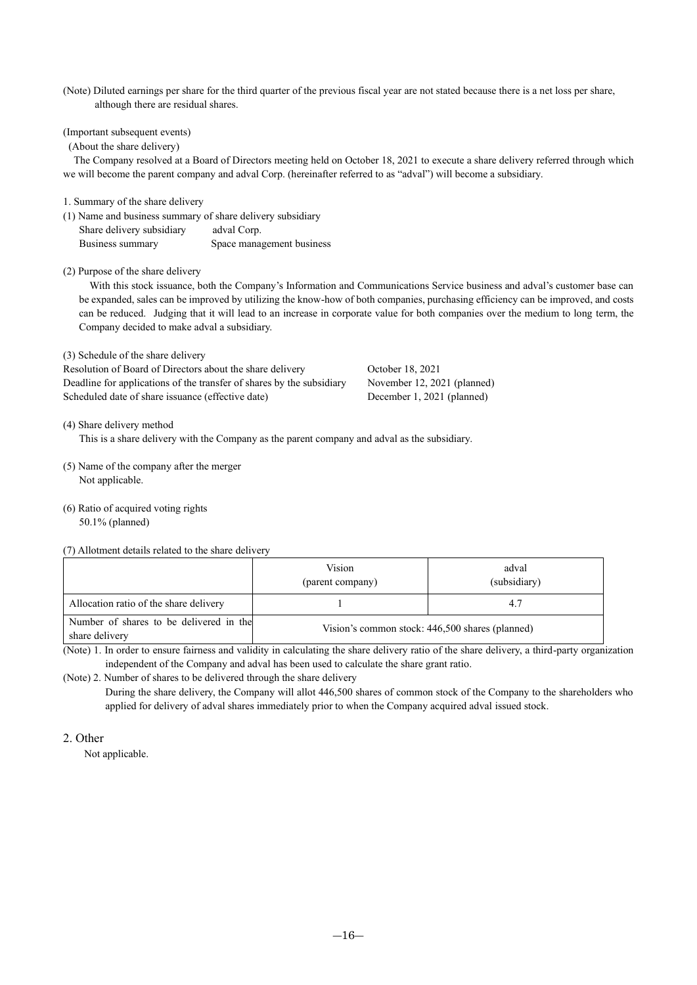(Note) Diluted earnings per share for the third quarter of the previous fiscal year are not stated because there is a net loss per share, although there are residual shares.

(Important subsequent events)

(About the share delivery)

The Company resolved at a Board of Directors meeting held on October 18, 2021 to execute a share delivery referred through which we will become the parent company and adval Corp. (hereinafter referred to as "adval") will become a subsidiary.

1. Summary of the share delivery

(1) Name and business summary of share delivery subsidiary Share delivery subsidiary adval Corp.

Business summary Space management business

### (2) Purpose of the share delivery

With this stock issuance, both the Company's Information and Communications Service business and adval's customer base can be expanded, sales can be improved by utilizing the know-how of both companies, purchasing efficiency can be improved, and costs can be reduced. Judging that it will lead to an increase in corporate value for both companies over the medium to long term, the Company decided to make adval a subsidiary.

(3) Schedule of the share delivery

Resolution of Board of Directors about the share delivery October 18, 2021 Deadline for applications of the transfer of shares by the subsidiary November 12, 2021 (planned) Scheduled date of share issuance (effective date) December 1, 2021 (planned)

(4) Share delivery method

This is a share delivery with the Company as the parent company and adval as the subsidiary.

- (5) Name of the company after the merger Not applicable.
- (6) Ratio of acquired voting rights

50.1% (planned)

(7) Allotment details related to the share delivery

|                                                           | Vision<br>(parent company)                      | adval<br>(subsidiary) |  |
|-----------------------------------------------------------|-------------------------------------------------|-----------------------|--|
| Allocation ratio of the share delivery                    |                                                 | 4.7                   |  |
| Number of shares to be delivered in the<br>share delivery | Vision's common stock: 446,500 shares (planned) |                       |  |

(Note) 1. In order to ensure fairness and validity in calculating the share delivery ratio of the share delivery, a third-party organization independent of the Company and adval has been used to calculate the share grant ratio.

(Note) 2. Number of shares to be delivered through the share delivery

During the share delivery, the Company will allot 446,500 shares of common stock of the Company to the shareholders who applied for delivery of adval shares immediately prior to when the Company acquired adval issued stock.

## 2. Other

Not applicable.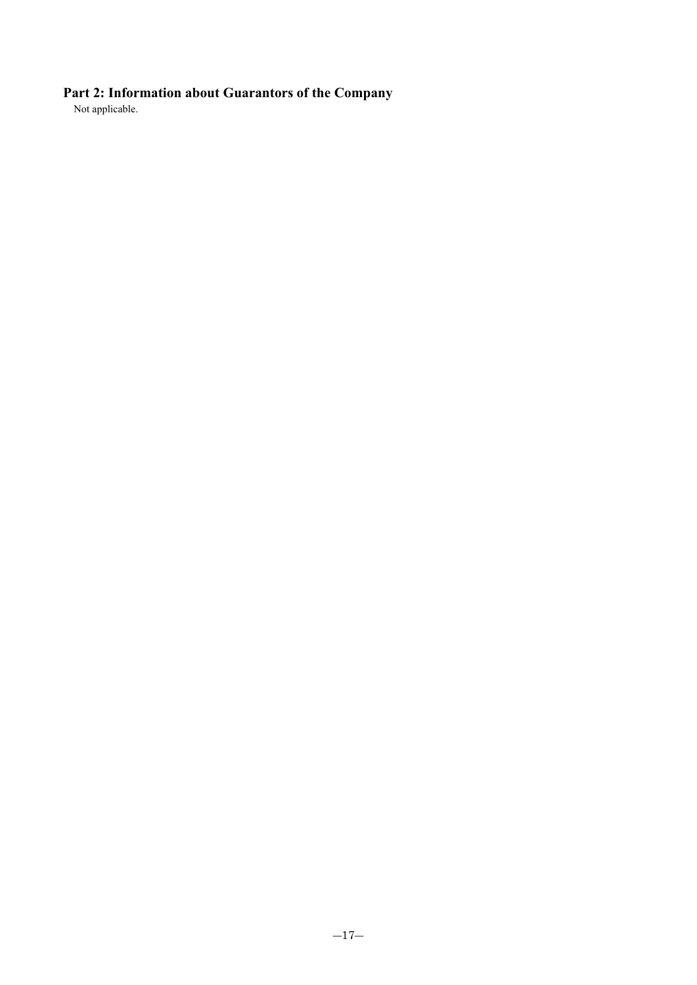# **Part 2: Information about Guarantors of the Company**

Not applicable.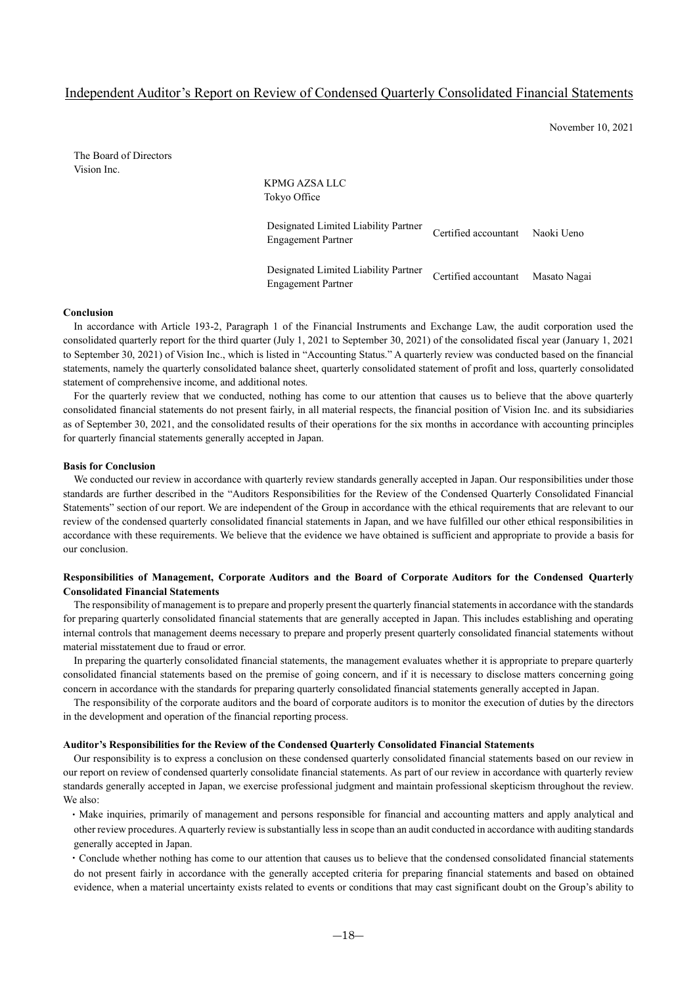# Independent Auditor's Report on Review of Condensed Quarterly Consolidated Financial Statements

November 10, 2021

The Board of Directors Vision Inc.

KPMG AZSA LLC Tokyo Office Designated Limited Liability Partner Engagement Partner Certified accountant Naoki Ueno Designated Limited Liability Partner Engagement Partner Certified accountant Masato Nagai

#### **Conclusion**

In accordance with Article 193-2, Paragraph 1 of the Financial Instruments and Exchange Law, the audit corporation used the consolidated quarterly report for the third quarter (July 1, 2021 to September 30, 2021) of the consolidated fiscal year (January 1, 2021 to September 30, 2021) of Vision Inc., which is listed in "Accounting Status." A quarterly review was conducted based on the financial statements, namely the quarterly consolidated balance sheet, quarterly consolidated statement of profit and loss, quarterly consolidated statement of comprehensive income, and additional notes.

For the quarterly review that we conducted, nothing has come to our attention that causes us to believe that the above quarterly consolidated financial statements do not present fairly, in all material respects, the financial position of Vision Inc. and its subsidiaries as of September 30, 2021, and the consolidated results of their operations for the six months in accordance with accounting principles for quarterly financial statements generally accepted in Japan.

#### **Basis for Conclusion**

We conducted our review in accordance with quarterly review standards generally accepted in Japan. Our responsibilities under those standards are further described in the "Auditors Responsibilities for the Review of the Condensed Quarterly Consolidated Financial Statements" section of our report. We are independent of the Group in accordance with the ethical requirements that are relevant to our review of the condensed quarterly consolidated financial statements in Japan, and we have fulfilled our other ethical responsibilities in accordance with these requirements. We believe that the evidence we have obtained is sufficient and appropriate to provide a basis for our conclusion.

## **Responsibilities of Management, Corporate Auditors and the Board of Corporate Auditors for the Condensed Quarterly Consolidated Financial Statements**

The responsibility of management is to prepare and properly present the quarterly financial statements in accordance with the standards for preparing quarterly consolidated financial statements that are generally accepted in Japan. This includes establishing and operating internal controls that management deems necessary to prepare and properly present quarterly consolidated financial statements without material misstatement due to fraud or error.

In preparing the quarterly consolidated financial statements, the management evaluates whether it is appropriate to prepare quarterly consolidated financial statements based on the premise of going concern, and if it is necessary to disclose matters concerning going concern in accordance with the standards for preparing quarterly consolidated financial statements generally accepted in Japan.

The responsibility of the corporate auditors and the board of corporate auditors is to monitor the execution of duties by the directors in the development and operation of the financial reporting process.

#### **Auditor's Responsibilities for the Review of the Condensed Quarterly Consolidated Financial Statements**

Our responsibility is to express a conclusion on these condensed quarterly consolidated financial statements based on our review in our report on review of condensed quarterly consolidate financial statements. As part of our review in accordance with quarterly review standards generally accepted in Japan, we exercise professional judgment and maintain professional skepticism throughout the review. We also:

・Make inquiries, primarily of management and persons responsible for financial and accounting matters and apply analytical and other review procedures. A quarterly review is substantially less in scope than an audit conducted in accordance with auditing standards generally accepted in Japan.

・Conclude whether nothing has come to our attention that causes us to believe that the condensed consolidated financial statements do not present fairly in accordance with the generally accepted criteria for preparing financial statements and based on obtained evidence, when a material uncertainty exists related to events or conditions that may cast significant doubt on the Group's ability to